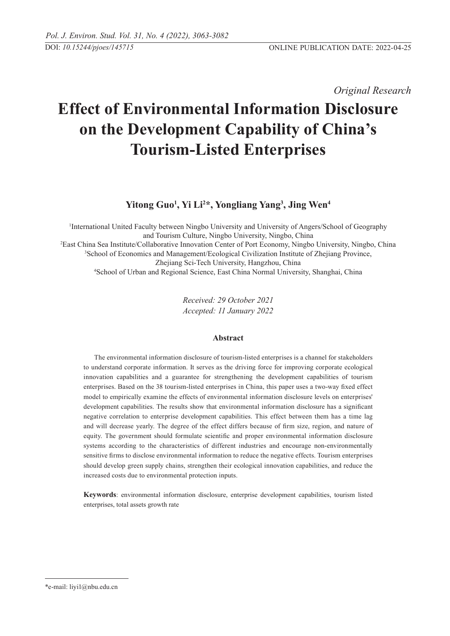*Original Research* 

# **Effect of Environmental Information Disclosure on the Development Capability of China's Tourism-Listed Enterprises**

# **Yitong Guo1 , Yi Li2 \*, Yongliang Yang3 , Jing Wen4**

 International United Faculty between Ningbo University and University of Angers/School of Geography and Tourism Culture, Ningbo University, Ningbo, China East China Sea Institute/Collaborative Innovation Center of Port Economy, Ningbo University, Ningbo, China School of Economics and Management/Ecological Civilization Institute of Zhejiang Province, Zheijang Sci-Tech University, Hangzhou, China School of Urban and Regional Science, East China Normal University, Shanghai, China

> *Received: 29 October 2021 Accepted: 11 January 2022*

# **Abstract**

The environmental information disclosure of tourism-listed enterprises is a channel for stakeholders to understand corporate information. It serves as the driving force for improving corporate ecological innovation capabilities and a guarantee for strengthening the development capabilities of tourism enterprises. Based on the 38 tourism-listed enterprises in China, this paper uses a two-way fixed effect model to empirically examine the effects of environmental information disclosure levels on enterprises' development capabilities. The results show that environmental information disclosure has a significant negative correlation to enterprise development capabilities. This effect between them has a time lag and will decrease yearly. The degree of the effect differs because of firm size, region, and nature of equity. The government should formulate scientific and proper environmental information disclosure systems according to the characteristics of different industries and encourage non-environmentally sensitive firms to disclose environmental information to reduce the negative effects. Tourism enterprises should develop green supply chains, strengthen their ecological innovation capabilities, and reduce the increased costs due to environmental protection inputs.

**Keywords**: environmental information disclosure, enterprise development capabilities, tourism listed enterprises, total assets growth rate

<sup>\*</sup>e-mail: liyi1@nbu.edu.cn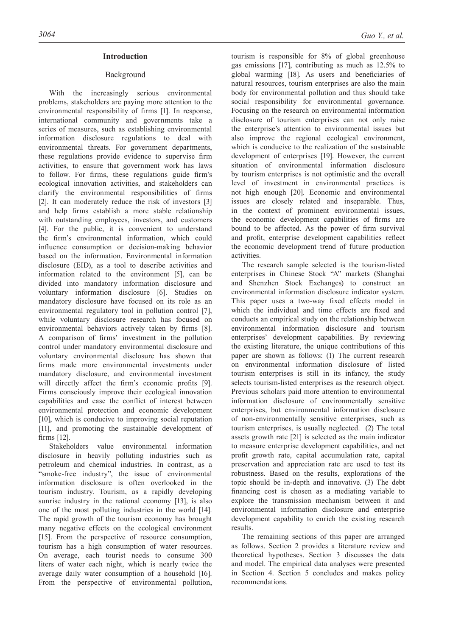# **Introduction**

# Background

With the increasingly serious environmental problems, stakeholders are paying more attention to the environmental responsibility of firms [1]. In response, international community and governments take a series of measures, such as establishing environmental information disclosure regulations to deal with environmental threats. For government departments, these regulations provide evidence to supervise firm activities, to ensure that government work has laws to follow. For firms, these regulations guide firm's ecological innovation activities, and stakeholders can clarify the environmental responsibilities of firms [2]. It can moderately reduce the risk of investors [3] and help firms establish a more stable relationship with outstanding employees, investors, and customers [4]. For the public, it is convenient to understand the firm's environmental information, which could influence consumption or decision-making behavior based on the information. Environmental information disclosure (EID), as a tool to describe activities and information related to the environment [5], can be divided into mandatory information disclosure and voluntary information disclosure [6]. Studies on mandatory disclosure have focused on its role as an environmental regulatory tool in pollution control [7], while voluntary disclosure research has focused on environmental behaviors actively taken by firms [8]. A comparison of firms' investment in the pollution control under mandatory environmental disclosure and voluntary environmental disclosure has shown that firms made more environmental investments under mandatory disclosure, and environmental investment will directly affect the firm's economic profits [9]. Firms consciously improve their ecological innovation capabilities and ease the conflict of interest between environmental protection and economic development [10], which is conducive to improving social reputation [11], and promoting the sustainable development of firms [12].

Stakeholders value environmental information disclosure in heavily polluting industries such as petroleum and chemical industries. In contrast, as a "smoke-free industry", the issue of environmental information disclosure is often overlooked in the tourism industry. Tourism, as a rapidly developing sunrise industry in the national economy [13], is also one of the most polluting industries in the world [14]. The rapid growth of the tourism economy has brought many negative effects on the ecological environment [15]. From the perspective of resource consumption, tourism has a high consumption of water resources. On average, each tourist needs to consume 300 liters of water each night, which is nearly twice the average daily water consumption of a household [16]. From the perspective of environmental pollution,

tourism is responsible for 8% of global greenhouse gas emissions [17], contributing as much as 12.5% to global warming [18]. As users and beneficiaries of natural resources, tourism enterprises are also the main body for environmental pollution and thus should take social responsibility for environmental governance. Focusing on the research on environmental information disclosure of tourism enterprises can not only raise the enterprise's attention to environmental issues but also improve the regional ecological environment, which is conducive to the realization of the sustainable development of enterprises [19]. However, the current situation of environmental information disclosure by tourism enterprises is not optimistic and the overall level of investment in environmental practices is not high enough [20]. Economic and environmental issues are closely related and inseparable. Thus, in the context of prominent environmental issues, the economic development capabilities of firms are bound to be affected. As the power of firm survival and profit, enterprise development capabilities reflect the economic development trend of future production activities.

The research sample selected is the tourism-listed enterprises in Chinese Stock "A" markets (Shanghai and Shenzhen Stock Exchanges) to construct an environmental information disclosure indicator system. This paper uses a two-way fixed effects model in which the individual and time effects are fixed and conducts an empirical study on the relationship between environmental information disclosure and tourism enterprises' development capabilities. By reviewing the existing literature, the unique contributions of this paper are shown as follows: (1) The current research on environmental information disclosure of listed tourism enterprises is still in its infancy, the study selects tourism-listed enterprises as the research object. Previous scholars paid more attention to environmental information disclosure of environmentally sensitive enterprises, but environmental information disclosure of non-environmentally sensitive enterprises, such as tourism enterprises, is usually neglected. (2) The total assets growth rate [21] is selected as the main indicator to measure enterprise development capabilities, and net profit growth rate, capital accumulation rate, capital preservation and appreciation rate are used to test its robustness. Based on the results, explorations of the topic should be in-depth and innovative. (3) The debt financing cost is chosen as a mediating variable to explore the transmission mechanism between it and environmental information disclosure and enterprise development capability to enrich the existing research results.

The remaining sections of this paper are arranged as follows. Section 2 provides a literature review and theoretical hypotheses. Section 3 discusses the data and model. The empirical data analyses were presented in Section 4. Section 5 concludes and makes policy recommendations.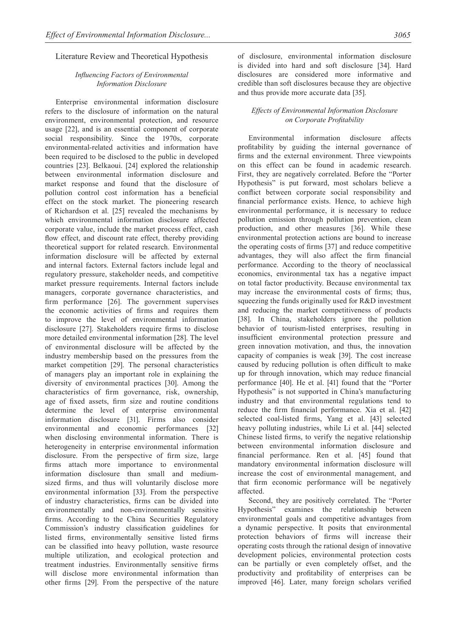# Literature Review and Theoretical Hypothesis

# *Influencing Factors of Environmental Information Disclosure*

Enterprise environmental information disclosure refers to the disclosure of information on the natural environment, environmental protection, and resource usage [22], and is an essential component of corporate social responsibility. Since the 1970s, corporate environmental-related activities and information have been required to be disclosed to the public in developed countries [23]. Belkaoui. [24] explored the relationship between environmental information disclosure and market response and found that the disclosure of pollution control cost information has a beneficial effect on the stock market. The pioneering research of Richardson et al. [25] revealed the mechanisms by which environmental information disclosure affected corporate value, include the market process effect, cash flow effect, and discount rate effect, thereby providing theoretical support for related research. Environmental information disclosure will be affected by external and internal factors. External factors include legal and regulatory pressure, stakeholder needs, and competitive market pressure requirements. Internal factors include managers, corporate governance characteristics, and firm performance [26]. The government supervises the economic activities of firms and requires them to improve the level of environmental information disclosure [27]. Stakeholders require firms to disclose more detailed environmental information [28]. The level of environmental disclosure will be affected by the industry membership based on the pressures from the market competition [29]. The personal characteristics of managers play an important role in explaining the diversity of environmental practices [30]. Among the characteristics of firm governance, risk, ownership, age of fixed assets, firm size and routine conditions determine the level of enterprise environmental information disclosure [31]. Firms also consider environmental and economic performances [32] when disclosing environmental information. There is heterogeneity in enterprise environmental information disclosure. From the perspective of firm size, large firms attach more importance to environmental information disclosure than small and mediumsized firms, and thus will voluntarily disclose more environmental information [33]. From the perspective of industry characteristics, firms can be divided into environmentally and non-environmentally sensitive firms. According to the China Securities Regulatory Commission's industry classification guidelines for listed firms, environmentally sensitive listed firms can be classified into heavy pollution, waste resource multiple utilization, and ecological protection and treatment industries. Environmentally sensitive firms will disclose more environmental information than other firms [29]. From the perspective of the nature of disclosure, environmental information disclosure is divided into hard and soft disclosure [34]. Hard disclosures are considered more informative and credible than soft disclosures because they are objective and thus provide more accurate data [35].

# *Effects of Environmental Information Disclosure on Corporate Profitability*

Environmental information disclosure affects profitability by guiding the internal governance of firms and the external environment. Three viewpoints on this effect can be found in academic research. First, they are negatively correlated. Before the "Porter Hypothesis" is put forward, most scholars believe a conflict between corporate social responsibility and financial performance exists. Hence, to achieve high environmental performance, it is necessary to reduce pollution emission through pollution prevention, clean production, and other measures [36]. While these environmental protection actions are bound to increase the operating costs of firms [37] and reduce competitive advantages, they will also affect the firm financial performance. According to the theory of neoclassical economics, environmental tax has a negative impact on total factor productivity. Because environmental tax may increase the environmental costs of firms; thus, squeezing the funds originally used for R&D investment and reducing the market competitiveness of products [38]. In China, stakeholders ignore the pollution behavior of tourism-listed enterprises, resulting in insufficient environmental protection pressure and green innovation motivation, and thus, the innovation capacity of companies is weak [39]. The cost increase caused by reducing pollution is often difficult to make up for through innovation, which may reduce financial performance [40]. He et al. [41] found that the "Porter Hypothesis" is not supported in China's manufacturing industry and that environmental regulations tend to reduce the firm financial performance. Xia et al. [42] selected coal-listed firms, Yang et al. [43] selected heavy polluting industries, while Li et al. [44] selected Chinese listed firms, to verify the negative relationship between environmental information disclosure and financial performance. Ren et al. [45] found that mandatory environmental information disclosure will increase the cost of environmental management, and that firm economic performance will be negatively affected.

Second, they are positively correlated. The "Porter Hypothesis" examines the relationship between environmental goals and competitive advantages from a dynamic perspective. It posits that environmental protection behaviors of firms will increase their operating costs through the rational design of innovative development policies, environmental protection costs can be partially or even completely offset, and the productivity and profitability of enterprises can be improved [46]. Later, many foreign scholars verified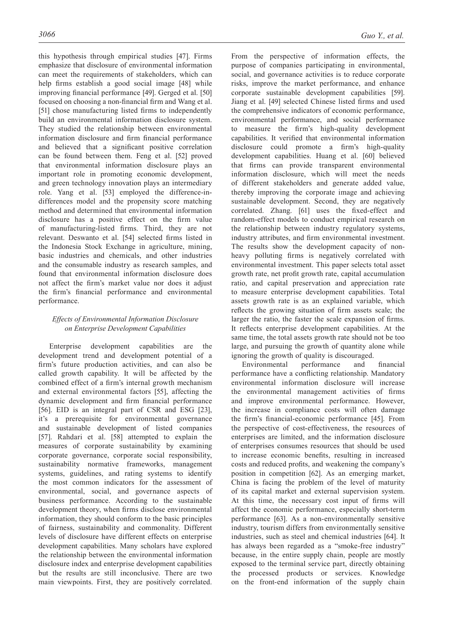this hypothesis through empirical studies [47]. Firms emphasize that disclosure of environmental information can meet the requirements of stakeholders, which can help firms establish a good social image [48] while improving financial performance [49]. Gerged et al. [50] focused on choosing a non-financial firm and Wang et al. [51] chose manufacturing listed firms to independently build an environmental information disclosure system. They studied the relationship between environmental information disclosure and firm financial performance and believed that a significant positive correlation can be found between them. Feng et al. [52] proved that environmental information disclosure plays an important role in promoting economic development, and green technology innovation plays an intermediary role. Yang et al. [53] employed the difference-indifferences model and the propensity score matching method and determined that environmental information disclosure has a positive effect on the firm value of manufacturing-listed firms. Third, they are not relevant. Deswanto et al. [54] selected firms listed in the Indonesia Stock Exchange in agriculture, mining, basic industries and chemicals, and other industries and the consumable industry as research samples, and found that environmental information disclosure does not affect the firm's market value nor does it adjust the firm's financial performance and environmental performance.

# *Effects of Environmental Information Disclosure on Enterprise Development Capabilities*

Enterprise development capabilities are the development trend and development potential of a firm's future production activities, and can also be called growth capability. It will be affected by the combined effect of a firm's internal growth mechanism and external environmental factors [55], affecting the dynamic development and firm financial performance [56]. EID is an integral part of CSR and ESG [23], it's a prerequisite for environmental governance and sustainable development of listed companies [57]. Rahdari et al. [58] attempted to explain the measures of corporate sustainability by examining corporate governance, corporate social responsibility, sustainability normative frameworks, management systems, guidelines, and rating systems to identify the most common indicators for the assessment of environmental, social, and governance aspects of business performance. According to the sustainable development theory, when firms disclose environmental information, they should conform to the basic principles of fairness, sustainability and commonality. Different levels of disclosure have different effects on enterprise development capabilities. Many scholars have explored the relationship between the environmental information disclosure index and enterprise development capabilities but the results are still inconclusive. There are two main viewpoints. First, they are positively correlated.

From the perspective of information effects, the purpose of companies participating in environmental, social, and governance activities is to reduce corporate risks, improve the market performance, and enhance corporate sustainable development capabilities [59]. Jiang et al. [49] selected Chinese listed firms and used the comprehensive indicators of economic performance, environmental performance, and social performance to measure the firm's high-quality development capabilities. It verified that environmental information disclosure could promote a firm's high-quality development capabilities. Huang et al. [60] believed that firms can provide transparent environmental information disclosure, which will meet the needs of different stakeholders and generate added value, thereby improving the corporate image and achieving sustainable development. Second, they are negatively correlated. Zhang. [61] uses the fixed-effect and random-effect models to conduct empirical research on the relationship between industry regulatory systems, industry attributes, and firm environmental investment. The results show the development capacity of nonheavy polluting firms is negatively correlated with environmental investment. This paper selects total asset growth rate, net profit growth rate, capital accumulation ratio, and capital preservation and appreciation rate to measure enterprise development capabilities. Total assets growth rate is as an explained variable, which reflects the growing situation of firm assets scale; the larger the ratio, the faster the scale expansion of firms. It reflects enterprise development capabilities. At the same time, the total assets growth rate should not be too large, and pursuing the growth of quantity alone while ignoring the growth of quality is discouraged.

Environmental performance and financial performance have a conflicting relationship. Mandatory environmental information disclosure will increase the environmental management activities of firms and improve environmental performance. However, the increase in compliance costs will often damage the firm's financial-economic performance [45]. From the perspective of cost-effectiveness, the resources of enterprises are limited, and the information disclosure of enterprises consumes resources that should be used to increase economic benefits, resulting in increased costs and reduced profits, and weakening the company's position in competition [62]. As an emerging market, China is facing the problem of the level of maturity of its capital market and external supervision system. At this time, the necessary cost input of firms will affect the economic performance, especially short-term performance [63]. As a non-environmentally sensitive industry, tourism differs from environmentally sensitive industries, such as steel and chemical industries [64]. It has always been regarded as a "smoke-free industry" because, in the entire supply chain, people are mostly exposed to the terminal service part, directly obtaining the processed products or services. Knowledge on the front-end information of the supply chain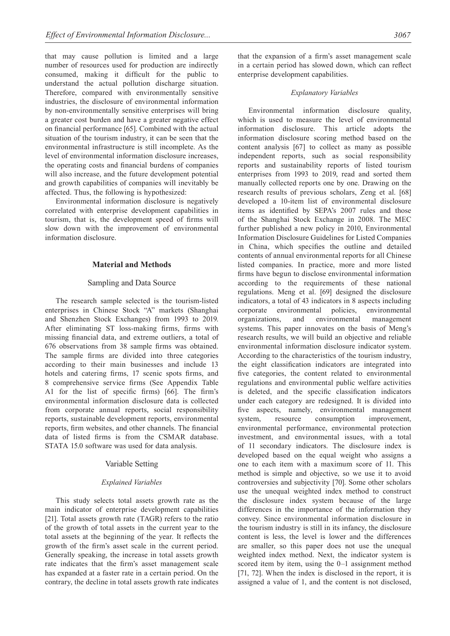that may cause pollution is limited and a large number of resources used for production are indirectly consumed, making it difficult for the public to understand the actual pollution discharge situation. Therefore, compared with environmentally sensitive industries, the disclosure of environmental information by non-environmentally sensitive enterprises will bring a greater cost burden and have a greater negative effect on financial performance [65]. Combined with the actual situation of the tourism industry, it can be seen that the environmental infrastructure is still incomplete. As the level of environmental information disclosure increases, the operating costs and financial burdens of companies will also increase, and the future development potential and growth capabilities of companies will inevitably be affected. Thus, the following is hypothesized:

Environmental information disclosure is negatively correlated with enterprise development capabilities in tourism, that is, the development speed of firms will slow down with the improvement of environmental information disclosure.

#### **Material and Methods**

#### Sampling and Data Source

The research sample selected is the tourism-listed enterprises in Chinese Stock "A" markets (Shanghai and Shenzhen Stock Exchanges) from 1993 to 2019. After eliminating ST loss-making firms, firms with missing financial data, and extreme outliers, a total of 676 observations from 38 sample firms was obtained. The sample firms are divided into three categories according to their main businesses and include 13 hotels and catering firms, 17 scenic spots firms, and 8 comprehensive service firms (See Appendix Table A1 for the list of specific firms) [66]. The firm's environmental information disclosure data is collected from corporate annual reports, social responsibility reports, sustainable development reports, environmental reports, firm websites, and other channels. The financial data of listed firms is from the CSMAR database. STATA 15.0 software was used for data analysis.

#### Variable Setting

#### *Explained Variables*

This study selects total assets growth rate as the main indicator of enterprise development capabilities [21]. Total assets growth rate (TAGR) refers to the ratio of the growth of total assets in the current year to the total assets at the beginning of the year. It reflects the growth of the firm's asset scale in the current period. Generally speaking, the increase in total assets growth rate indicates that the firm's asset management scale has expanded at a faster rate in a certain period. On the contrary, the decline in total assets growth rate indicates that the expansion of a firm's asset management scale in a certain period has slowed down, which can reflect enterprise development capabilities.

#### *Explanatory Variables*

Environmental information disclosure quality, which is used to measure the level of environmental information disclosure. This article adopts the information disclosure scoring method based on the content analysis [67] to collect as many as possible independent reports, such as social responsibility reports and sustainability reports of listed tourism enterprises from 1993 to 2019, read and sorted them manually collected reports one by one. Drawing on the research results of previous scholars, Zeng et al. [68] developed a 10-item list of environmental disclosure items as identified by SEPA's 2007 rules and those of the Shanghai Stock Exchange in 2008. The MEC further published a new policy in 2010, Environmental Information Disclosure Guidelines for Listed Companies in China, which specifies the outline and detailed contents of annual environmental reports for all Chinese listed companies. In practice, more and more listed firms have begun to disclose environmental information according to the requirements of these national regulations. Meng et al. [69] designed the disclosure indicators, a total of 43 indicators in 8 aspects including corporate environmental policies, environmental organizations, and environmental management systems. This paper innovates on the basis of Meng's research results, we will build an objective and reliable environmental information disclosure indicator system. According to the characteristics of the tourism industry, the eight classification indicators are integrated into five categories, the content related to environmental regulations and environmental public welfare activities is deleted, and the specific classification indicators under each category are redesigned. It is divided into five aspects, namely, environmental management system, resource consumption improvement, environmental performance, environmental protection investment, and environmental issues, with a total of 11 secondary indicators. The disclosure index is developed based on the equal weight who assigns a one to each item with a maximum score of 11. This method is simple and objective, so we use it to avoid controversies and subjectivity [70]. Some other scholars use the unequal weighted index method to construct the disclosure index system because of the large differences in the importance of the information they convey. Since environmental information disclosure in the tourism industry is still in its infancy, the disclosure content is less, the level is lower and the differences are smaller, so this paper does not use the unequal weighted index method. Next, the indicator system is scored item by item, using the 0–1 assignment method [71, 72]. When the index is disclosed in the report, it is assigned a value of 1, and the content is not disclosed,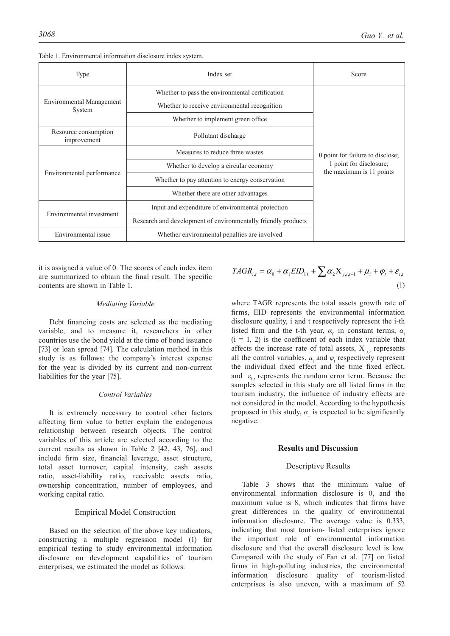| Index set<br>Type                                                   |                                                               | Score                                                                                   |  |  |
|---------------------------------------------------------------------|---------------------------------------------------------------|-----------------------------------------------------------------------------------------|--|--|
|                                                                     | Whether to pass the environmental certification               |                                                                                         |  |  |
| <b>Environmental Management</b><br>System                           | Whether to receive environmental recognition                  |                                                                                         |  |  |
|                                                                     | Whether to implement green office.                            |                                                                                         |  |  |
| Resource consumption<br>improvement                                 | Pollutant discharge                                           |                                                                                         |  |  |
|                                                                     | Measures to reduce three wastes                               | 0 point for failure to disclose;<br>1 point for disclosure;<br>the maximum is 11 points |  |  |
|                                                                     | Whether to develop a circular economy                         |                                                                                         |  |  |
| Environmental performance                                           | Whether to pay attention to energy conservation               |                                                                                         |  |  |
|                                                                     | Whether there are other advantages                            |                                                                                         |  |  |
|                                                                     | Input and expenditure of environmental protection             |                                                                                         |  |  |
| Environmental investment                                            | Research and development of environmentally friendly products |                                                                                         |  |  |
| Environmental issue<br>Whether environmental penalties are involved |                                                               |                                                                                         |  |  |

| Table 1. Environmental information disclosure index system. |  |
|-------------------------------------------------------------|--|
|-------------------------------------------------------------|--|

it is assigned a value of 0. The scores of each index item are summarized to obtain the final result. The specific contents are shown in Table 1.

#### *Mediating Variable*

Debt financing costs are selected as the mediating variable, and to measure it, researchers in other countries use the bond yield at the time of bond issuance [73] or loan spread [74]. The calculation method in this study is as follows: the company's interest expense for the year is divided by its current and non-current liabilities for the year [75].

#### *Control Variables*

It is extremely necessary to control other factors affecting firm value to better explain the endogenous relationship between research objects. The control variables of this article are selected according to the current results as shown in Table 2 [42, 43, 76], and include firm size, financial leverage, asset structure, total asset turnover, capital intensity, cash assets ratio, asset-liability ratio, receivable assets ratio, ownership concentration, number of employees, and working capital ratio.

#### Empirical Model Construction

Based on the selection of the above key indicators, constructing a multiple regression model (1) for empirical testing to study environmental information disclosure on development capabilities of tourism enterprises, we estimated the model as follows:

$$
TAGR_{i,t} = \alpha_0 + \alpha_1 EID_{i,t} + \sum \alpha_2 X_{j,i,t-1} + \mu_i + \varphi_t + \varepsilon_{i,t}
$$
\n(1)

where TAGR represents the total assets growth rate of firms, EID represents the environmental information disclosure quality, i and t respectively represent the i-th listed firm and the t-th year,  $\alpha_0$  in constant terms,  $\alpha_i$  $(i = 1, 2)$  is the coefficient of each index variable that affects the increase rate of total assets,  $X_{i,i,t}$  represents all the control variables,  $\mu_i$  and  $\varphi_t$  respectively represent the individual fixed effect and the time fixed effect, and  $\varepsilon_{i,t}$  represents the random error term. Because the samples selected in this study are all listed firms in the tourism industry, the influence of industry effects are not considered in the model. According to the hypothesis proposed in this study,  $\alpha_1$  is expected to be significantly negative.

#### **Results and Discussion**

#### Descriptive Results

Table 3 shows that the minimum value of environmental information disclosure is 0, and the maximum value is 8, which indicates that firms have great differences in the quality of environmental information disclosure. The average value is 0.333, indicating that most tourism- listed enterprises ignore the important role of environmental information disclosure and that the overall disclosure level is low. Compared with the study of Fan et al. [77] on listed firms in high-polluting industries, the environmental information disclosure quality of tourism-listed enterprises is also uneven, with a maximum of 52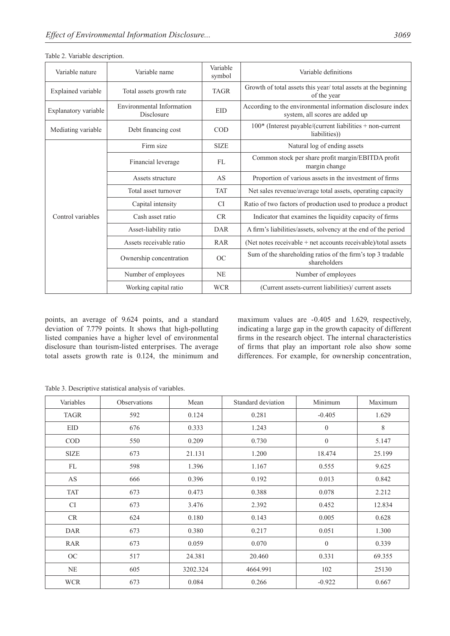| Variable nature      | Variable name                                  | Variable<br>symbol | Variable definitions                                                                           |
|----------------------|------------------------------------------------|--------------------|------------------------------------------------------------------------------------------------|
| Explained variable   | Total assets growth rate                       | <b>TAGR</b>        | Growth of total assets this year/total assets at the beginning<br>of the year                  |
| Explanatory variable | <b>Environmental Information</b><br>Disclosure | <b>EID</b>         | According to the environmental information disclosure index<br>system, all scores are added up |
| Mediating variable   | Debt financing cost                            | <b>COD</b>         | $100*$ (Interest payable/(current liabilities + non-current<br>liabilities))                   |
|                      | Firm size                                      | <b>SIZE</b>        | Natural log of ending assets                                                                   |
|                      | Financial leverage                             | FL                 | Common stock per share profit margin/EBITDA profit<br>margin change                            |
|                      | Assets structure                               | AS                 | Proportion of various assets in the investment of firms                                        |
|                      | Total asset turnover                           | <b>TAT</b>         | Net sales revenue/average total assets, operating capacity                                     |
|                      | Capital intensity                              | <b>CI</b>          | Ratio of two factors of production used to produce a product                                   |
| Control variables    | Cash asset ratio                               | CR                 | Indicator that examines the liquidity capacity of firms                                        |
|                      | Asset-liability ratio                          | <b>DAR</b>         | A firm's liabilities/assets, solvency at the end of the period                                 |
|                      | Assets receivable ratio                        | <b>RAR</b>         | (Net notes receivable + net accounts receivable)/total assets                                  |
|                      | Ownership concentration                        |                    | Sum of the shareholding ratios of the firm's top 3 tradable<br>shareholders                    |
|                      | Number of employees                            | <b>NE</b>          | Number of employees                                                                            |
|                      | Working capital ratio                          | <b>WCR</b>         | (Current assets-current liabilities)/ current assets                                           |

Table 2. Variable description.

points, an average of 9.624 points, and a standard deviation of 7.779 points. It shows that high-polluting listed companies have a higher level of environmental disclosure than tourism-listed enterprises. The average total assets growth rate is 0.124, the minimum and maximum values are -0.405 and 1.629, respectively, indicating a large gap in the growth capacity of different firms in the research object. The internal characteristics of firms that play an important role also show some differences. For example, for ownership concentration,

Table 3. Descriptive statistical analysis of variables.

| Variables   | Observations | Mean     | Standard deviation | Minimum          | Maximum |
|-------------|--------------|----------|--------------------|------------------|---------|
| <b>TAGR</b> | 592          | 0.124    | 0.281              | $-0.405$         | 1.629   |
| EID         | 676          | 0.333    | 1.243              | $\boldsymbol{0}$ | $\,8\,$ |
| COD         | 550          | 0.209    | 0.730              | $\boldsymbol{0}$ | 5.147   |
| <b>SIZE</b> | 673          | 21.131   | 1.200              | 18.474           | 25.199  |
| FL          | 598          | 1.396    | 1.167              | 0.555            | 9.625   |
| AS          | 666          | 0.396    | 0.192              | 0.013            | 0.842   |
| <b>TAT</b>  | 673          | 0.473    | 0.388              | 0.078            | 2.212   |
| CI.         | 673          | 3.476    | 2.392              | 0.452            | 12.834  |
| CR          | 624          | 0.180    | 0.143              | 0.005            | 0.628   |
| <b>DAR</b>  | 673          | 0.380    | 0.217              | 0.051            | 1.300   |
| RAR         | 673          | 0.059    | 0.070              | $\overline{0}$   | 0.339   |
| OC          | 517          | 24.381   | 20.460             | 0.331            | 69.355  |
| $\rm NE$    | 605          | 3202.324 | 4664.991           | 102              | 25130   |
| <b>WCR</b>  | 673          | 0.084    | 0.266              | $-0.922$         | 0.667   |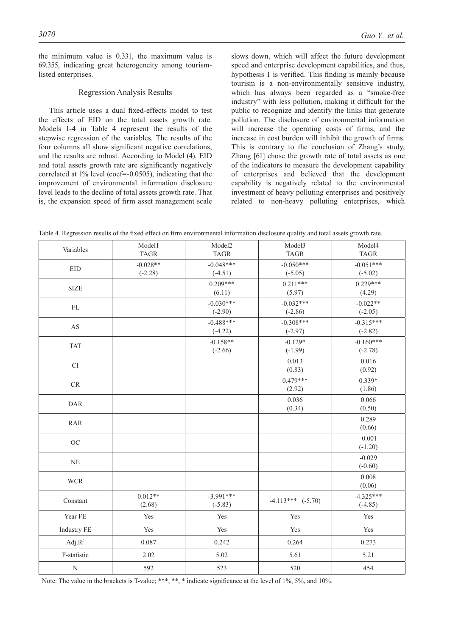the minimum value is 0.331, the maximum value is 69.355, indicating great heterogeneity among tourismlisted enterprises.

#### Regression Analysis Results

This article uses a dual fixed-effects model to test the effects of EID on the total assets growth rate. Models 1-4 in Table 4 represent the results of the stepwise regression of the variables. The results of the four columns all show significant negative correlations, and the results are robust. According to Model (4), EID and total assets growth rate are significantly negatively correlated at 1% level (coef=-0.0505), indicating that the improvement of environmental information disclosure level leads to the decline of total assets growth rate. That is, the expansion speed of firm asset management scale

slows down, which will affect the future development speed and enterprise development capabilities, and thus, hypothesis 1 is verified. This finding is mainly because tourism is a non-environmentally sensitive industry, which has always been regarded as a "smoke-free industry" with less pollution, making it difficult for the public to recognize and identify the links that generate pollution. The disclosure of environmental information will increase the operating costs of firms, and the increase in cost burden will inhibit the growth of firms. This is contrary to the conclusion of Zhang's study, Zhang [61] chose the growth rate of total assets as one of the indicators to measure the development capability of enterprises and believed that the development capability is negatively related to the environmental investment of heavy polluting enterprises and positively related to non-heavy polluting enterprises, which

|  |  |  |  |  | Table 4. Regression results of the fixed effect on firm environmental information disclosure quality and total assets growth rate. |  |  |  |  |  |  |  |
|--|--|--|--|--|------------------------------------------------------------------------------------------------------------------------------------|--|--|--|--|--|--|--|
|--|--|--|--|--|------------------------------------------------------------------------------------------------------------------------------------|--|--|--|--|--|--|--|

| Variables                | Model1<br><b>TAGR</b>   | Model <sub>2</sub><br><b>TAGR</b> | Model3<br><b>TAGR</b>    | Model4<br><b>TAGR</b>    |
|--------------------------|-------------------------|-----------------------------------|--------------------------|--------------------------|
| EID                      | $-0.028**$<br>$(-2.28)$ | $-0.048***$<br>$(-4.51)$          | $-0.050***$<br>$(-5.05)$ | $-0.051***$<br>$(-5.02)$ |
| <b>SIZE</b>              |                         | $0.209***$<br>(6.11)              | $0.211***$<br>(5.97)     | $0.229***$<br>(4.29)     |
| ${\rm FL}$               |                         | $-0.030***$<br>$(-2.90)$          | $-0.032***$<br>$(-2.86)$ | $-0.022**$<br>$(-2.05)$  |
| AS                       |                         | $-0.488***$<br>$(-4.22)$          | $-0.308***$<br>$(-2.97)$ | $-0.315***$<br>$(-2.82)$ |
| <b>TAT</b>               |                         | $-0.158**$<br>$(-2.66)$           | $-0.129*$<br>$(-1.99)$   | $-0.160***$<br>$(-2.78)$ |
| CI                       |                         |                                   | 0.013<br>(0.83)          | 0.016<br>(0.92)          |
| $\mathcal{C}\mathcal{R}$ |                         |                                   | $0.479***$<br>(2.92)     | $0.339*$<br>(1.86)       |
| <b>DAR</b>               |                         |                                   | 0.036<br>(0.34)          | 0.066<br>(0.50)          |
| <b>RAR</b>               |                         |                                   |                          | 0.289<br>(0.66)          |
| $OC$                     |                         |                                   |                          | $-0.001$<br>$(-1.20)$    |
| NE                       |                         |                                   |                          | $-0.029$<br>$(-0.60)$    |
| <b>WCR</b>               |                         |                                   |                          | 0.008<br>(0.06)          |
| Constant                 | $0.012**$<br>(2.68)     | $-3.991***$<br>$(-5.83)$          | $-4.113***$ $(-5.70)$    | $-4.325***$<br>$(-4.85)$ |
| Year FE                  | Yes                     | Yes                               | Yes                      | Yes                      |
| <b>Industry FE</b>       | Yes                     | Yes                               | Yes                      | Yes                      |
| Adj. $R^2$               | 0.087                   | 0.242                             | 0.264                    | 0.273                    |
| F-statistic              | 2.02                    | 5.02                              | 5.61                     | 5.21                     |
| ${\bf N}$                | 592                     | 523                               | 520                      | 454                      |

Note: The value in the brackets is T-value; \*\*\*, \*\*, \* indicate significance at the level of 1%, 5%, and 10%.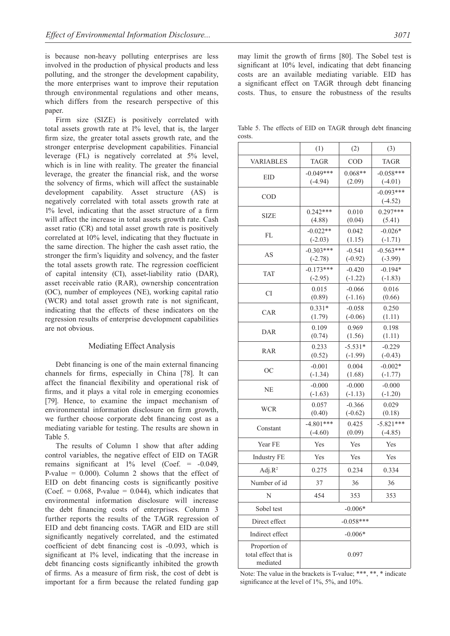is because non-heavy polluting enterprises are less involved in the production of physical products and less polluting, and the stronger the development capability, the more enterprises want to improve their reputation through environmental regulations and other means, which differs from the research perspective of this paper.

Firm size (SIZE) is positively correlated with total assets growth rate at 1% level, that is, the larger firm size, the greater total assets growth rate, and the stronger enterprise development capabilities. Financial leverage (FL) is negatively correlated at 5% level, which is in line with reality. The greater the financial leverage, the greater the financial risk, and the worse the solvency of firms, which will affect the sustainable development capability. Asset structure (AS) is negatively correlated with total assets growth rate at 1% level, indicating that the asset structure of a firm will affect the increase in total assets growth rate. Cash asset ratio (CR) and total asset growth rate is positively correlated at 10% level, indicating that they fluctuate in the same direction. The higher the cash asset ratio, the stronger the firm's liquidity and solvency, and the faster the total assets growth rate. The regression coefficient of capital intensity (CI), asset-liability ratio (DAR), asset receivable ratio (RAR), ownership concentration (OC), number of employees (NE), working capital ratio (WCR) and total asset growth rate is not significant, indicating that the effects of these indicators on the regression results of enterprise development capabilities are not obvious.

#### Mediating Effect Analysis

Debt financing is one of the main external financing channels for firms, especially in China [78]. It can affect the financial flexibility and operational risk of firms, and it plays a vital role in emerging economies [79]. Hence, to examine the impact mechanism of environmental information disclosure on firm growth, we further choose corporate debt financing cost as a mediating variable for testing. The results are shown in Table 5.

The results of Column 1 show that after adding control variables, the negative effect of EID on TAGR remains significant at 1% level (Coef. = -0.049, P-value  $= 0.000$ . Column 2 shows that the effect of EID on debt financing costs is significantly positive (Coef.  $= 0.068$ , P-value  $= 0.044$ ), which indicates that environmental information disclosure will increase the debt financing costs of enterprises. Column 3 further reports the results of the TAGR regression of EID and debt financing costs. TAGR and EID are still significantly negatively correlated, and the estimated coefficient of debt financing cost is -0.093, which is significant at 1% level, indicating that the increase in debt financing costs significantly inhibited the growth of firms. As a measure of firm risk, the cost of debt is important for a firm because the related funding gap may limit the growth of firms [80]. The Sobel test is significant at 10% level, indicating that debt financing costs are an available mediating variable. EID has a significant effect on TAGR through debt financing costs. Thus, to ensure the robustness of the results

Table 5. The effects of EID on TAGR through debt financing costs.

|                                                   | (1)                                            | (2)                    | (3)                      |  |  |
|---------------------------------------------------|------------------------------------------------|------------------------|--------------------------|--|--|
| <b>VARIABLES</b>                                  | <b>TAGR</b>                                    | COD                    | <b>TAGR</b>              |  |  |
| EID                                               | $-0.049***$<br>$(-4.94)$                       | $0.068**$<br>(2.09)    | $-0.058***$<br>$(-4.01)$ |  |  |
| COD                                               |                                                |                        | $-0.093***$<br>$(-4.52)$ |  |  |
| SIZE                                              | $0.242***$<br>(4.88)                           | 0.010<br>(0.04)        | $0.297***$<br>(5.41)     |  |  |
| FL                                                | $-0.022**$<br>$(-2.03)$                        | 0.042<br>(1.15)        | $-0.026*$<br>$(-1.71)$   |  |  |
| AS                                                | $-0.303***$<br>$(-2.78)$                       | $-0.541$<br>$(-0.92)$  | $-0.563***$<br>$(-3.99)$ |  |  |
| <b>TAT</b>                                        | $-0.173***$<br>$(-2.95)$                       | $-0.420$<br>$(-1.22)$  | $-0.194*$<br>$(-1.83)$   |  |  |
| <b>CI</b>                                         | 0.015<br>(0.89)                                | $-0.066$<br>$(-1.16)$  | 0.016<br>(0.66)          |  |  |
| CAR                                               | $0.331*$<br>(1.79)                             | $-0.058$<br>$(-0.06)$  | 0.250<br>(1.11)          |  |  |
| <b>DAR</b>                                        | 0.109<br>(0.74)                                | 0.969<br>(1.56)        | 0.198<br>(1.11)          |  |  |
| <b>RAR</b>                                        | 0.233<br>(0.52)                                | $-5.531*$<br>$(-1.99)$ | $-0.229$<br>$(-0.43)$    |  |  |
| <b>OC</b>                                         | $-0.001$<br>$(-1.34)$                          | 0.004<br>(1.68)        | $-0.002*$<br>$(-1.77)$   |  |  |
| <b>NE</b>                                         | $-0.000$<br>$-0.000$<br>$(-1.63)$<br>$(-1.13)$ |                        | $-0.000$<br>$(-1.20)$    |  |  |
| <b>WCR</b>                                        | 0.057<br>$-0.366$<br>(0.40)<br>$(-0.62)$       |                        | 0.029<br>(0.18)          |  |  |
| Constant                                          | $-4.801***$<br>$(-4.60)$                       | 0.425<br>(0.09)        | $-5.821***$<br>$(-4.85)$ |  |  |
| Year FE                                           | Yes                                            | Yes                    | Yes                      |  |  |
| <b>Industry FE</b>                                | Yes                                            | Yes                    | Yes                      |  |  |
| $Adj.R^2$                                         | 0.275                                          | 0.234                  | 0.334                    |  |  |
| Number of id                                      | 37                                             | 36                     | 36                       |  |  |
| N                                                 | 454                                            | 353                    | 353                      |  |  |
| Sobel test                                        |                                                | $-0.006*$              |                          |  |  |
| Direct effect                                     |                                                | $-0.058***$            |                          |  |  |
| Indirect effect                                   |                                                | $-0.006*$              |                          |  |  |
| Proportion of<br>total effect that is<br>mediated | 0.097                                          |                        |                          |  |  |

Note: The value in the brackets is T-value; \*\*\*, \*\*, \* indicate significance at the level of 1%, 5%, and 10%.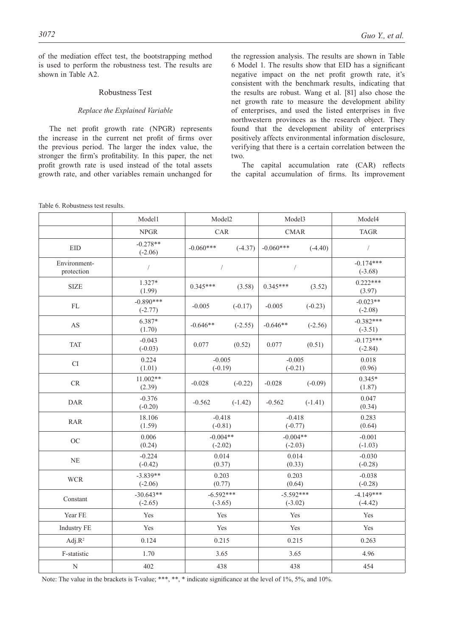of the mediation effect test, the bootstrapping method is used to perform the robustness test. The results are shown in Table A2.

# Robustness Test

# *Replace the Explained Variable*

The net profit growth rate (NPGR) represents the increase in the current net profit of firms over the previous period. The larger the index value, the stronger the firm's profitability. In this paper, the net profit growth rate is used instead of the total assets growth rate, and other variables remain unchanged for the regression analysis. The results are shown in Table 6 Model 1. The results show that EID has a significant negative impact on the net profit growth rate, it's consistent with the benchmark results, indicating that the results are robust. Wang et al. [81] also chose the net growth rate to measure the development ability of enterprises, and used the listed enterprises in five northwestern provinces as the research object. They found that the development ability of enterprises positively affects environmental information disclosure, verifying that there is a certain correlation between the two.

The capital accumulation rate (CAR) reflects the capital accumulation of firms. Its improvement

Model1 Model2 Model3 Model4 NPGR | CAR | CMAR | TAGR EID  $-0.278**$ <br> $(-2.06)$  $(-2.06)$   $\begin{vmatrix} -0.060^{***} \\ -0.060^{***} \end{vmatrix}$   $\begin{vmatrix} -0.060^{***} \\ -0.060^{***} \end{vmatrix}$   $\begin{vmatrix} -4.40 \\ -0.060^{***} \end{vmatrix}$ Environmentprotection / / / -0.174\*\*\* (-3.68) SIZE  $1.327^*$  $(1.327^*)$   $0.345^{***}$   $(3.58)$   $0.345^{***}$   $(3.52)$   $0.222^{***}$   $(3.97)$ (3.97) FL  $-0.890***$ <br> $(-2.77)$  $(-2.77)$  -0.005 (-0.17) -0.005 (-0.23)  $-0.023$ \*\* (-2.08) (-2.08) AS  $6.387*$   $(1.70)$  $(1.70)$   $-0.646**$   $(-2.55)$   $-0.646**$   $(-2.56)$   $-0.382***$ <br> $(-3.51)$   $(3.51)$ (-3.51) TAT  $-0.043$ <br> $(-0.03)$  $(0.03)$  0.077 (0.52) 0.077 (0.51)  $-0.173**$ <br> $(0.03)$ (-2.84) CI 0.224 (1.01) -0.005 (-0.19) -0.005 (-0.21) 0.018 (0.96) CR  $\begin{array}{c|c} 11.002** \end{array}$  (2.39)  $(2.39)$  -0.028 (-0.22) -0.028 (-0.09)  $(0.345*)$ <br>(2.39) (1.87) DAR  $-0.376$ <br> $(-0.20)$  $\begin{array}{|c|c|c|c|c|c|c|c|}\n \hline\n -0.376 & -0.562 & -0.562 & -0.562 & -1.41) & & 0.047 \\
\hline\n -0.200 & 0.349 & 0.047 & 0.047 & 0.047 & 0.047 & 0.047 & 0.047 & 0.047 & 0.047 & 0.047 & 0.047 & 0.047 & 0.047 & 0.047 & 0.047 & 0.047 & 0.047 & 0.047 & 0.047 & 0.04$ (0.34) RAR 18.106 (1.59) -0.418 (-0.81) -0.418 (-0.77) 0.283 (0.64) OC  $0.006$ (0.24)  $-0.004**$ (-2.02)  $-0.004**$  $(-2.03)$ -0.001 (-1.03) NE -0.224 (-0.42) 0.014 (0.37) 0.014 (0.33) -0.030 (-0.28) WCR  $-3.839**$ (-2.06) 0.203 (0.77) 0.203 (0.64) -0.038 (-0.28)  $Constant$   $-30.643**$ (-2.65)  $-6.592***$ (-3.65)  $-5.592***$ (-3.02)  $-4.149***$ (-4.42) Year FE Yes Yes Yes Yes Industry FE Yes Yes Yes Yes Yes Yes Yes Adj.R<sup>2</sup> 10.124 0.215 0.215 0.215 0.263 F-statistic 1.70 1.70 3.65 3.65 4.96 N 402 438 438 438 454

Note: The value in the brackets is T-value; \*\*\*, \*\*, \* indicate significance at the level of 1%, 5%, and 10%.

Table 6. Robustness test results.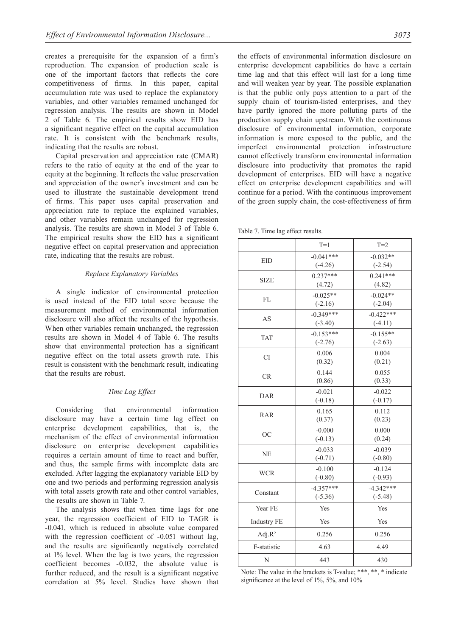creates a prerequisite for the expansion of a firm's reproduction. The expansion of production scale is one of the important factors that reflects the core competitiveness of firms. In this paper, capital accumulation rate was used to replace the explanatory variables, and other variables remained unchanged for regression analysis. The results are shown in Model 2 of Table 6. The empirical results show EID has a significant negative effect on the capital accumulation rate. It is consistent with the benchmark results, indicating that the results are robust.

Capital preservation and appreciation rate (CMAR) refers to the ratio of equity at the end of the year to equity at the beginning. It reflects the value preservation and appreciation of the owner's investment and can be used to illustrate the sustainable development trend of firms. This paper uses capital preservation and appreciation rate to replace the explained variables, and other variables remain unchanged for regression analysis. The results are shown in Model 3 of Table 6. The empirical results show the EID has a significant negative effect on capital preservation and appreciation rate, indicating that the results are robust.

#### *Replace Explanatory Variables*

A single indicator of environmental protection is used instead of the EID total score because the measurement method of environmental information disclosure will also affect the results of the hypothesis. When other variables remain unchanged, the regression results are shown in Model 4 of Table 6. The results show that environmental protection has a significant negative effect on the total assets growth rate. This result is consistent with the benchmark result, indicating that the results are robust.

# *Time Lag Effect*

Considering that environmental information disclosure may have a certain time lag effect on enterprise development capabilities, that is, the mechanism of the effect of environmental information disclosure on enterprise development capabilities requires a certain amount of time to react and buffer, and thus, the sample firms with incomplete data are excluded. After lagging the explanatory variable EID by one and two periods and performing regression analysis with total assets growth rate and other control variables, the results are shown in Table 7.

The analysis shows that when time lags for one year, the regression coefficient of EID to TAGR is -0.041, which is reduced in absolute value compared with the regression coefficient of  $-0.051$  without lag, and the results are significantly negatively correlated at 1% level. When the lag is two years, the regression coefficient becomes -0.032, the absolute value is further reduced, and the result is a significant negative correlation at 5% level. Studies have shown that the effects of environmental information disclosure on enterprise development capabilities do have a certain time lag and that this effect will last for a long time and will weaken year by year. The possible explanation is that the public only pays attention to a part of the supply chain of tourism-listed enterprises, and they have partly ignored the more polluting parts of the production supply chain upstream. With the continuous disclosure of environmental information, corporate information is more exposed to the public, and the imperfect environmental protection infrastructure cannot effectively transform environmental information disclosure into productivity that promotes the rapid development of enterprises. EID will have a negative effect on enterprise development capabilities and will continue for a period. With the continuous improvement of the green supply chain, the cost-effectiveness of firm

Table 7. Time lag effect results.

|                    | $T=1$       | $T=2$       |
|--------------------|-------------|-------------|
| <b>EID</b>         | $-0.041***$ | $-0.032**$  |
|                    | $(-4.26)$   | $(-2.54)$   |
| <b>SIZE</b>        | $0.237***$  | $0.241***$  |
|                    | (4.72)      | (4.82)      |
| FL                 | $-0.025**$  | $-0.024**$  |
|                    | $(-2.16)$   | $(-2.04)$   |
| AS                 | $-0.349***$ | $-0.422***$ |
|                    | $(-3.40)$   | $(-4.11)$   |
| <b>TAT</b>         | $-0.153***$ | $-0.155**$  |
|                    | $(-2.76)$   | $(-2.63)$   |
| CI                 | 0.006       | 0.004       |
|                    | (0.32)      | (0.21)      |
| CR                 | 0.144       | 0.055       |
|                    | (0.86)      | (0.33)      |
| <b>DAR</b>         | $-0.021$    | $-0.022$    |
|                    | $(-0.18)$   | $(-0.17)$   |
| <b>RAR</b>         | 0.165       | 0.112       |
|                    | (0.37)      | (0.23)      |
| <b>OC</b>          | $-0.000$    | 0.000       |
|                    | $(-0.13)$   | (0.24)      |
| NE                 | $-0.033$    | $-0.039$    |
|                    | $(-0.71)$   | $(-0.80)$   |
| <b>WCR</b>         | $-0.100$    | $-0.124$    |
|                    | $(-0.80)$   | $(-0.93)$   |
| Constant           | $-4.357***$ | $-4.342***$ |
|                    | $(-5.36)$   | $(-5.48)$   |
| Year FE            | Yes         | Yes         |
| <b>Industry FE</b> | Yes         | Yes         |
| Adj. $R^2$         | 0.256       | 0.256       |
| F-statistic        | 4.63        | 4.49        |
| N                  | 443         | 430         |

Note: The value in the brackets is T-value; \*\*\*, \*\*, \* indicate significance at the level of 1%, 5%, and 10%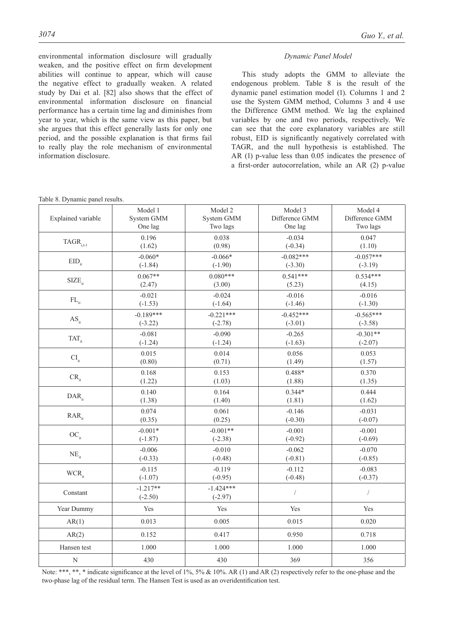environmental information disclosure will gradually weaken, and the positive effect on firm development abilities will continue to appear, which will cause the negative effect to gradually weaken. A related study by Dai et al. [82] also shows that the effect of environmental information disclosure on financial performance has a certain time lag and diminishes from year to year, which is the same view as this paper, but she argues that this effect generally lasts for only one period, and the possible explanation is that firms fail to really play the role mechanism of environmental information disclosure.

#### *Dynamic Panel Model*

This study adopts the GMM to alleviate the endogenous problem. Table 8 is the result of the dynamic panel estimation model (1). Columns 1 and 2 use the System GMM method, Columns 3 and 4 use the Difference GMM method. We lag the explained variables by one and two periods, respectively. We can see that the core explanatory variables are still robust, EID is significantly negatively correlated with TAGR, and the null hypothesis is established. The AR (1) p-value less than 0.05 indicates the presence of a first-order autocorrelation, while an AR (2) p-value

| Explained variable          | Model 1                 | Model 2                  | Model 3        | Model 4              |
|-----------------------------|-------------------------|--------------------------|----------------|----------------------|
|                             | System GMM              | System GMM               | Difference GMM | Difference GMM       |
|                             | One lag                 | Two lags                 | One lag        | Two lags             |
| $TAGR_{i,t-1}$              | 0.196                   | 0.038                    | $-0.034$       | 0.047                |
|                             | (1.62)                  | (0.98)                   | $(-0.34)$      | (1.10)               |
| $EID_{it}$                  | $-0.060*$               | $-0.066*$                | $-0.082***$    | $-0.057***$          |
|                             | $(-1.84)$               | $(-1.90)$                | $(-3.30)$      | $(-3.19)$            |
| $SIZE_{it}$                 | $0.067**$               | $0.080***$               | $0.541***$     | $0.534***$           |
|                             | (2.47)                  | (3.00)                   | (5.23)         | (4.15)               |
| $\mathbf{FL}_{\mathrm{it}}$ | $-0.021$                | $-0.024$                 | $-0.016$       | $-0.016$             |
|                             | $(-1.53)$               | $(-1.64)$                | $(-1.46)$      | $(-1.30)$            |
| $AS_{it}$                   | $-0.189***$             | $-0.221***$              | $-0.452***$    | $-0.565***$          |
|                             | $(-3.22)$               | $(-2.78)$                | $(-3.01)$      | $(-3.58)$            |
| $TAT_{it}$                  | $-0.081$                | $-0.090$                 | $-0.265$       | $-0.301**$           |
|                             | $(-1.24)$               | $(-1.24)$                | $(-1.63)$      | $(-2.07)$            |
| $\text{\rm CI}_{\rm it}$    | 0.015                   | 0.014                    | 0.056          | 0.053                |
|                             | (0.80)                  | (0.71)                   | (1.49)         | (1.57)               |
| $CR_{it}$                   | 0.168                   | 0.153                    | $0.488*$       | 0.370                |
|                             | (1.22)                  | (1.03)                   | (1.88)         | (1.35)               |
| $\text{DAR}_{\text{it}}$    | 0.140                   | 0.164                    | $0.344*$       | 0.444                |
|                             | (1.38)                  | (1.40)                   | (1.81)         | (1.62)               |
| $RAR$ <sub>it</sub>         | 0.074                   | 0.061                    | $-0.146$       | $-0.031$             |
|                             | (0.35)                  | (0.25)                   | $(-0.30)$      | $(-0.07)$            |
| $OC_{it}$                   | $-0.001*$               | $-0.001**$               | $-0.001$       | $-0.001$             |
|                             | $(-1.87)$               | $(-2.38)$                | $(-0.92)$      | $(-0.69)$            |
| $NE_{it}$                   | $-0.006$                | $-0.010$                 | $-0.062$       | $-0.070$             |
|                             | $(-0.33)$               | $(-0.48)$                | $(-0.81)$      | $(-0.85)$            |
| $WCR_{it}$                  | $-0.115$                | $-0.119$                 | $-0.112$       | $-0.083$             |
|                             | $(-1.07)$               | $(-0.95)$                | $(-0.48)$      | $(-0.37)$            |
| Constant                    | $-1.217**$<br>$(-2.50)$ | $-1.424***$<br>$(-2.97)$ | $\sqrt{2}$     | $\sqrt{\phantom{a}}$ |
| Year Dummy                  | Yes                     | Yes                      | Yes            | Yes                  |
| AR(1)                       | 0.013                   | 0.005                    | 0.015          | 0.020                |
| AR(2)                       | 0.152                   | 0.417                    | 0.950          | 0.718                |
| Hansen test                 | 1.000                   | 1.000                    | 1.000          | 1.000                |

Note: \*\*\*, \*\*, \* indicate significance at the level of 1%, 5% & 10%. AR (1) and AR (2) respectively refer to the one-phase and the two-phase lag of the residual term. The Hansen Test is used as an overidentification test.

N 430 430 430 369 356

Table 8. Dynamic panel results.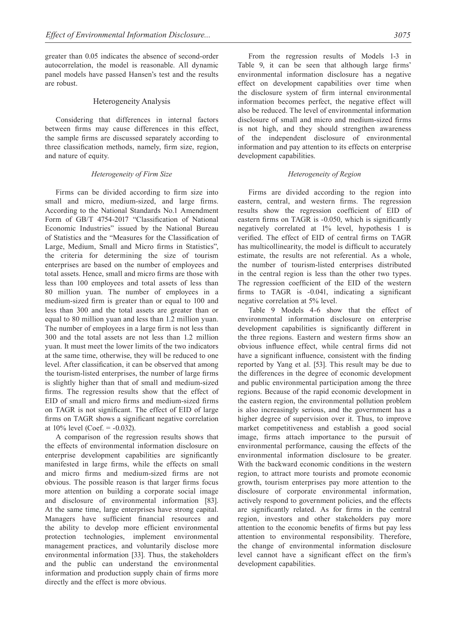greater than 0.05 indicates the absence of second-order autocorrelation, the model is reasonable. All dynamic panel models have passed Hansen's test and the results are robust.

# Heterogeneity Analysis

Considering that differences in internal factors between firms may cause differences in this effect, the sample firms are discussed separately according to three classification methods, namely, firm size, region, and nature of equity.

#### *Heterogeneity of Firm Size*

Firms can be divided according to firm size into small and micro, medium-sized, and large firms. According to the National Standards No.1 Amendment Form of GB/T 4754-2017 "Classification of National Economic Industries" issued by the National Bureau of Statistics and the "Measures for the Classification of Large, Medium, Small and Micro firms in Statistics", the criteria for determining the size of tourism enterprises are based on the number of employees and total assets. Hence, small and micro firms are those with less than 100 employees and total assets of less than 80 million yuan. The number of employees in a medium-sized firm is greater than or equal to 100 and less than 300 and the total assets are greater than or equal to 80 million yuan and less than 1.2 million yuan. The number of employees in a large firm is not less than 300 and the total assets are not less than 1.2 million yuan. It must meet the lower limits of the two indicators at the same time, otherwise, they will be reduced to one level. After classification, it can be observed that among the tourism-listed enterprises, the number of large firms is slightly higher than that of small and medium-sized firms. The regression results show that the effect of EID of small and micro firms and medium-sized firms on TAGR is not significant. The effect of EID of large firms on TAGR shows a significant negative correlation at  $10\%$  level (Coef. =  $-0.032$ ).

A comparison of the regression results shows that the effects of environmental information disclosure on enterprise development capabilities are significantly manifested in large firms, while the effects on small and micro firms and medium-sized firms are not obvious. The possible reason is that larger firms focus more attention on building a corporate social image and disclosure of environmental information [83]. At the same time, large enterprises have strong capital. Managers have sufficient financial resources and the ability to develop more efficient environmental protection technologies, implement environmental management practices, and voluntarily disclose more environmental information [33]. Thus, the stakeholders and the public can understand the environmental information and production supply chain of firms more directly and the effect is more obvious.

From the regression results of Models 1-3 in Table 9, it can be seen that although large firms' environmental information disclosure has a negative effect on development capabilities over time when the disclosure system of firm internal environmental information becomes perfect, the negative effect will also be reduced. The level of environmental information disclosure of small and micro and medium-sized firms is not high, and they should strengthen awareness of the independent disclosure of environmental information and pay attention to its effects on enterprise development capabilities.

#### *Heterogeneity of Region*

Firms are divided according to the region into eastern, central, and western firms. The regression results show the regression coefficient of EID of eastern firms on TAGR is -0.050, which is significantly negatively correlated at 1% level, hypothesis 1 is verified. The effect of EID of central firms on TAGR has multicollinearity, the model is difficult to accurately estimate, the results are not referential. As a whole, the number of tourism-listed enterprises distributed in the central region is less than the other two types. The regression coefficient of the EID of the western firms to TAGR is -0.041, indicating a significant negative correlation at 5% level.

Table 9 Models 4-6 show that the effect of environmental information disclosure on enterprise development capabilities is significantly different in the three regions. Eastern and western firms show an obvious influence effect, while central firms did not have a significant influence, consistent with the finding reported by Yang et al. [53]. This result may be due to the differences in the degree of economic development and public environmental participation among the three regions. Because of the rapid economic development in the eastern region, the environmental pollution problem is also increasingly serious, and the government has a higher degree of supervision over it. Thus, to improve market competitiveness and establish a good social image, firms attach importance to the pursuit of environmental performance, causing the effects of the environmental information disclosure to be greater. With the backward economic conditions in the western region, to attract more tourists and promote economic growth, tourism enterprises pay more attention to the disclosure of corporate environmental information, actively respond to government policies, and the effects are significantly related. As for firms in the central region, investors and other stakeholders pay more attention to the economic benefits of firms but pay less attention to environmental responsibility. Therefore, the change of environmental information disclosure level cannot have a significant effect on the firm's development capabilities.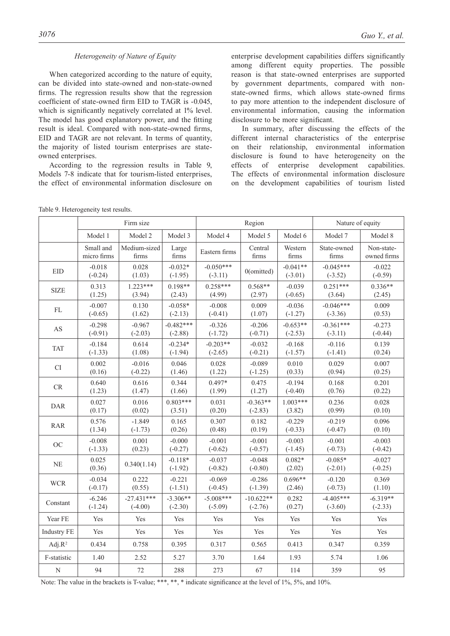#### *Heterogeneity of Nature of Equity*

When categorized according to the nature of equity, can be divided into state-owned and non-state-owned firms. The regression results show that the regression coefficient of state-owned firm EID to TAGR is -0.045, which is significantly negatively correlated at 1% level. The model has good explanatory power, and the fitting result is ideal. Compared with non-state-owned firms, EID and TAGR are not relevant. In terms of quantity, the majority of listed tourism enterprises are stateowned enterprises.

According to the regression results in Table 9, Models 7-8 indicate that for tourism-listed enterprises, the effect of environmental information disclosure on enterprise development capabilities differs significantly among different equity properties. The possible reason is that state-owned enterprises are supported by government departments, compared with nonstate-owned firms, which allows state-owned firms to pay more attention to the independent disclosure of environmental information, causing the information disclosure to be more significant.

In summary, after discussing the effects of the different internal characteristics of the enterprise on their relationship, environmental information disclosure is found to have heterogeneity on the effects of enterprise development capabilities. The effects of environmental information disclosure on the development capabilities of tourism listed

|                    |                          | Firm size             |                                 | Region                   |                       |                         | Nature of equity         |                           |  |
|--------------------|--------------------------|-----------------------|---------------------------------|--------------------------|-----------------------|-------------------------|--------------------------|---------------------------|--|
|                    | Model 1                  | Model 2               | Model 3                         | Model 4                  | Model 5               | Model 6                 | Model 7                  | Model 8                   |  |
|                    | Small and<br>micro firms | Medium-sized<br>firms | Large<br>$\operatorname{firms}$ | Eastern firms            | Central<br>firms      | Western<br>firms        | State-owned<br>firms     | Non-state-<br>owned firms |  |
| EID                | $-0.018$<br>$(-0.24)$    | 0.028<br>(1.03)       | $-0.032*$<br>$(-1.95)$          | $-0.050***$<br>$(-3.11)$ | $0$ (omitted)         | $-0.041**$<br>$(-3.01)$ | $-0.045***$<br>$(-3.52)$ | $-0.022$<br>$(-0.59)$     |  |
| <b>SIZE</b>        | 0.313                    | $1.223***$            | $0.198**$                       | $0.258***$               | $0.568**$             | $-0.039$                | $0.251***$               | $0.336**$                 |  |
|                    | (1.25)                   | (3.94)                | (2.43)                          | (4.99)                   | (2.97)                | $(-0.65)$               | (3.64)                   | (2.45)                    |  |
| FL                 | $-0.007$                 | 0.130                 | $-0.058*$                       | $-0.008$                 | 0.009                 | $-0.036$                | $-0.046***$              | 0.009                     |  |
|                    | $(-0.65)$                | (1.62)                | $(-2.13)$                       | $(-0.41)$                | (1.07)                | $(-1.27)$               | $(-3.36)$                | (0.53)                    |  |
| AS                 | $-0.298$                 | $-0.967$              | $-0.482***$                     | $-0.326$                 | $-0.206$              | $-0.653**$              | $-0.361***$              | $-0.273$                  |  |
|                    | $(-0.91)$                | $(-2.03)$             | $(-2.88)$                       | $(-1.72)$                | $(-0.71)$             | $(-2.53)$               | $(-3.11)$                | $(-0.44)$                 |  |
| <b>TAT</b>         | $-0.184$                 | 0.614                 | $-0.234*$                       | $-0.203**$               | $-0.032$              | $-0.168$                | $-0.116$                 | 0.139                     |  |
|                    | $(-1.33)$                | (1.08)                | $(-1.94)$                       | $(-2.65)$                | $(-0.21)$             | $(-1.57)$               | $(-1.41)$                | (0.24)                    |  |
| $\rm{CI}$          | 0.002                    | $-0.016$              | 0.046                           | 0.028                    | $-0.089$              | 0.010                   | 0.029                    | 0.007                     |  |
|                    | (0.16)                   | $(-0.22)$             | (1.46)                          | (1.22)                   | $(-1.25)$             | (0.33)                  | (0.94)                   | (0.25)                    |  |
| ${\cal CR}$        | 0.640                    | 0.616                 | 0.344                           | $0.497*$                 | 0.475                 | $-0.194$                | 0.168                    | 0.201                     |  |
|                    | (1.23)                   | (1.47)                | (1.66)                          | (1.99)                   | (1.27)                | $(-0.40)$               | (0.76)                   | (0.22)                    |  |
| <b>DAR</b>         | 0.027                    | 0.016                 | $0.803***$                      | 0.031                    | $-0.363**$            | $1.003***$              | 0.236                    | 0.028                     |  |
|                    | (0.17)                   | (0.02)                | (3.51)                          | (0.20)                   | $(-2.83)$             | (3.82)                  | (0.99)                   | (0.10)                    |  |
| <b>RAR</b>         | 0.576                    | $-1.849$              | 0.165                           | 0.307                    | 0.182                 | $-0.229$                | $-0.219$                 | 0.096                     |  |
|                    | (1.34)                   | $(-1.73)$             | (0.26)                          | (0.48)                   | (0.19)                | $(-0.33)$               | $(-0.47)$                | (0.10)                    |  |
| OC                 | $-0.008$                 | 0.001                 | $-0.000$                        | $-0.001$                 | $-0.001$              | $-0.003$                | $-0.001$                 | $-0.003$                  |  |
|                    | $(-1.33)$                | (0.23)                | $(-0.27)$                       | $(-0.62)$                | $(-0.57)$             | $(-1.45)$               | $(-0.73)$                | $(-0.42)$                 |  |
| $\rm NE$           | 0.025<br>(0.36)          | 0.340(1.14)           | $-0.118*$<br>$(-1.92)$          | $-0.037$<br>$(-0.82)$    | $-0.048$<br>$(-0.80)$ | $0.082*$<br>(2.02)      | $-0.085*$<br>$(-2.01)$   | $-0.027$<br>$(-0.25)$     |  |
| <b>WCR</b>         | $-0.034$                 | 0.222                 | $-0.221$                        | $-0.069$                 | $-0.286$              | $0.696**$               | $-0.120$                 | 0.369                     |  |
|                    | $(-0.17)$                | (0.55)                | $(-1.51)$                       | $(-0.45)$                | $(-1.39)$             | (2.46)                  | $(-0.73)$                | (1.10)                    |  |
| Constant           | $-6.246$                 | $-27.431***$          | $-3.306**$                      | $-5.008***$              | $-10.622**$           | 0.282                   | $-4.405***$              | $-6.319**$                |  |
|                    | $(-1.24)$                | $(-4.00)$             | $(-2.30)$                       | $(-5.09)$                | $(-2.76)$             | (0.27)                  | $(-3.60)$                | $(-2.33)$                 |  |
| Year FE            | Yes                      | Yes                   | Yes                             | Yes                      | Yes                   | Yes                     | Yes                      | Yes                       |  |
| <b>Industry FE</b> | Yes                      | Yes                   | Yes                             | Yes                      | Yes                   | Yes                     | Yes                      | Yes                       |  |
| Adj. $R^2$         | 0.434                    | 0.758                 | 0.395                           | 0.317                    | 0.565                 | 0.413                   | 0.347                    | 0.359                     |  |
| F-statistic        | 1.40                     | 2.52                  | 5.27                            | 3.70                     | 1.64                  | 1.93                    | 5.74                     | 1.06                      |  |
| $\overline{N}$     | 94                       | 72                    | 288                             | 273                      | 67                    | 114                     | 359                      | 95                        |  |

Table 9. Heterogeneity test results.

Note: The value in the brackets is T-value; \*\*\*, \*\*, \* indicate significance at the level of 1%, 5%, and 10%.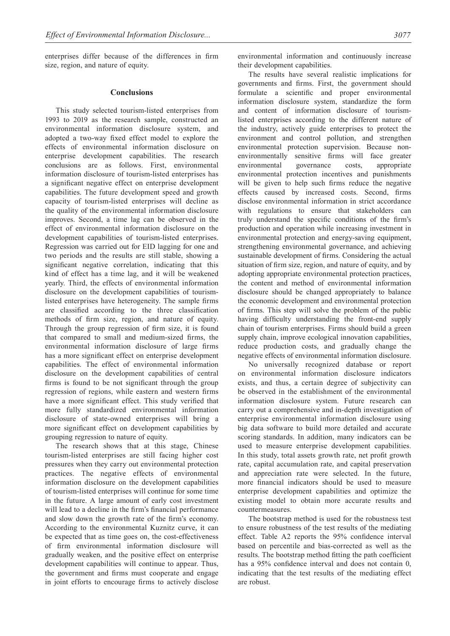enterprises differ because of the differences in firm size, region, and nature of equity.

#### **Conclusions**

This study selected tourism-listed enterprises from 1993 to 2019 as the research sample, constructed an environmental information disclosure system, and adopted a two-way fixed effect model to explore the effects of environmental information disclosure on enterprise development capabilities. The research conclusions are as follows. First, environmental information disclosure of tourism-listed enterprises has a significant negative effect on enterprise development capabilities. The future development speed and growth capacity of tourism-listed enterprises will decline as the quality of the environmental information disclosure improves. Second, a time lag can be observed in the effect of environmental information disclosure on the development capabilities of tourism-listed enterprises. Regression was carried out for EID lagging for one and two periods and the results are still stable, showing a significant negative correlation, indicating that this kind of effect has a time lag, and it will be weakened yearly. Third, the effects of environmental information disclosure on the development capabilities of tourismlisted enterprises have heterogeneity. The sample firms are classified according to the three classification methods of firm size, region, and nature of equity. Through the group regression of firm size, it is found that compared to small and medium-sized firms, the environmental information disclosure of large firms has a more significant effect on enterprise development capabilities. The effect of environmental information disclosure on the development capabilities of central firms is found to be not significant through the group regression of regions, while eastern and western firms have a more significant effect. This study verified that more fully standardized environmental information disclosure of state-owned enterprises will bring a more significant effect on development capabilities by grouping regression to nature of equity.

The research shows that at this stage, Chinese tourism-listed enterprises are still facing higher cost pressures when they carry out environmental protection practices. The negative effects of environmental information disclosure on the development capabilities of tourism-listed enterprises will continue for some time in the future. A large amount of early cost investment will lead to a decline in the firm's financial performance and slow down the growth rate of the firm's economy. According to the environmental Kuznitz curve, it can be expected that as time goes on, the cost-effectiveness of firm environmental information disclosure will gradually weaken, and the positive effect on enterprise development capabilities will continue to appear. Thus, the government and firms must cooperate and engage in joint efforts to encourage firms to actively disclose environmental information and continuously increase their development capabilities.

The results have several realistic implications for governments and firms. First, the government should formulate a scientific and proper environmental information disclosure system, standardize the form and content of information disclosure of tourismlisted enterprises according to the different nature of the industry, actively guide enterprises to protect the environment and control pollution, and strengthen environmental protection supervision. Because nonenvironmentally sensitive firms will face greater environmental governance costs, appropriate environmental protection incentives and punishments will be given to help such firms reduce the negative effects caused by increased costs. Second, firms disclose environmental information in strict accordance with regulations to ensure that stakeholders can truly understand the specific conditions of the firm's production and operation while increasing investment in environmental protection and energy-saving equipment, strengthening environmental governance, and achieving sustainable development of firms. Considering the actual situation of firm size, region, and nature of equity, and by adopting appropriate environmental protection practices, the content and method of environmental information disclosure should be changed appropriately to balance the economic development and environmental protection of firms. This step will solve the problem of the public having difficulty understanding the front-end supply chain of tourism enterprises. Firms should build a green supply chain, improve ecological innovation capabilities, reduce production costs, and gradually change the negative effects of environmental information disclosure.

No universally recognized database or report on environmental information disclosure indicators exists, and thus, a certain degree of subjectivity can be observed in the establishment of the environmental information disclosure system. Future research can carry out a comprehensive and in-depth investigation of enterprise environmental information disclosure using big data software to build more detailed and accurate scoring standards. In addition, many indicators can be used to measure enterprise development capabilities. In this study, total assets growth rate, net profit growth rate, capital accumulation rate, and capital preservation and appreciation rate were selected. In the future, more financial indicators should be used to measure enterprise development capabilities and optimize the existing model to obtain more accurate results and countermeasures.

The bootstrap method is used for the robustness test to ensure robustness of the test results of the mediating effect. Table A2 reports the 95% confidence interval based on percentile and bias-corrected as well as the results. The bootstrap method fitting the path coefficient has a 95% confidence interval and does not contain 0, indicating that the test results of the mediating effect are robust.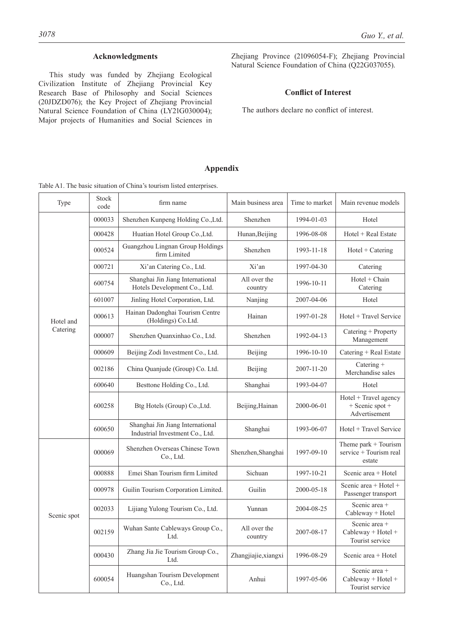# **Acknowledgments**

This study was funded by Zhejiang Ecological Civilization Institute of Zhejiang Provincial Key Research Base of Philosophy and Social Sciences (20JDZD076); the Key Project of Zhejiang Provincial Natural Science Foundation of China (LY21G030004); Major projects of Humanities and Social Sciences in Zhejiang Province (21096054-F); Zhejiang Provincial Natural Science Foundation of China (Q22G037055).

# **Conflict of Interest**

The authors declare no conflict of interest.

# **Appendix**

|             |               | Table AT. The basic situation of China's tourism listed enterprises. |                         |                |                                                                         |
|-------------|---------------|----------------------------------------------------------------------|-------------------------|----------------|-------------------------------------------------------------------------|
| Type        | Stock<br>code | firm name                                                            | Main business area      | Time to market | Main revenue models                                                     |
|             | 000033        | Shenzhen Kunpeng Holding Co., Ltd.                                   | Shenzhen                | 1994-01-03     | Hotel                                                                   |
|             | 000428        | Huatian Hotel Group Co., Ltd.                                        | Hunan, Beijing          | 1996-08-08     | Hotel + Real Estate                                                     |
|             | 000524        | Guangzhou Lingnan Group Holdings<br>firm Limited                     | Shenzhen                | 1993-11-18     | $Hotel + Catering$                                                      |
|             | 000721        | Xi'an Catering Co., Ltd.                                             | Xi'an                   | 1997-04-30     | Catering                                                                |
|             | 600754        | Shanghai Jin Jiang International<br>Hotels Development Co., Ltd.     | All over the<br>country | 1996-10-11     | Hotel + Chain<br>Catering                                               |
|             | 601007        | Jinling Hotel Corporation, Ltd.                                      | Nanjing                 | 2007-04-06     | Hotel                                                                   |
| Hotel and   | 000613        | Hainan Dadonghai Tourism Centre<br>(Holdings) Co.Ltd.                | Hainan                  | 1997-01-28     | Hotel + Travel Service                                                  |
| Catering    | 000007        | Shenzhen Quanxinhao Co., Ltd.                                        | Shenzhen                | 1992-04-13     | Catering + Property<br>Management                                       |
|             | 000609        | Beijing Zodi Investment Co., Ltd.                                    | Beijing                 | 1996-10-10     | Catering + Real Estate                                                  |
|             | 002186        | China Quanjude (Group) Co. Ltd.                                      | Beijing                 | 2007-11-20     | Catering +<br>Merchandise sales                                         |
|             | 600640        | Besttone Holding Co., Ltd.                                           | Shanghai                | 1993-04-07     | Hotel                                                                   |
|             | 600258        | Btg Hotels (Group) Co., Ltd.                                         | Beijing, Hainan         | 2000-06-01     | $Hotel + Travel agency$<br>$+$ Scenic spot $+$<br>Advertisement         |
|             | 600650        | Shanghai Jin Jiang International<br>Industrial Investment Co., Ltd.  | Shanghai                | 1993-06-07     | Hotel + Travel Service                                                  |
|             | 000069        | Shenzhen Overseas Chinese Town<br>Co., Ltd.                          | Shenzhen, Shanghai      | 1997-09-10     | Theme park $+$ Tourism<br>service + Tourism real<br>estate              |
|             | 000888        | Emei Shan Tourism firm Limited                                       | Sichuan                 | 1997-10-21     | Scenic area + Hotel                                                     |
|             | 000978        | Guilin Tourism Corporation Limited.                                  | Guilin                  | 2000-05-18     | Scenic area + Hotel +<br>Passenger transport                            |
| Scenic spot | 002033        | Lijiang Yulong Tourism Co., Ltd.                                     | Yunnan                  | 2004-08-25     | Scenic area +<br>Cableway + Hotel                                       |
|             | 002159        | Wuhan Sante Cableways Group Co.,<br>Ltd.                             | All over the<br>country | 2007-08-17     | Scenic area +<br>Cableway + Hotel +<br>Tourist service                  |
|             | 000430        | Zhang Jia Jie Tourism Group Co.,<br>Ltd.                             | Zhangjiajie, xiangxi    | 1996-08-29     | Scenic area + Hotel                                                     |
|             | 600054        | Huangshan Tourism Development<br>Co., Ltd.                           | Anhui                   | 1997-05-06     | Scenic area +<br>Cableway + Hotel +<br>$\mathbf{T}_{\text{non-}1}$ at a |

Table A1. The basic situation of China's tourism listed enterprises.

Tourist service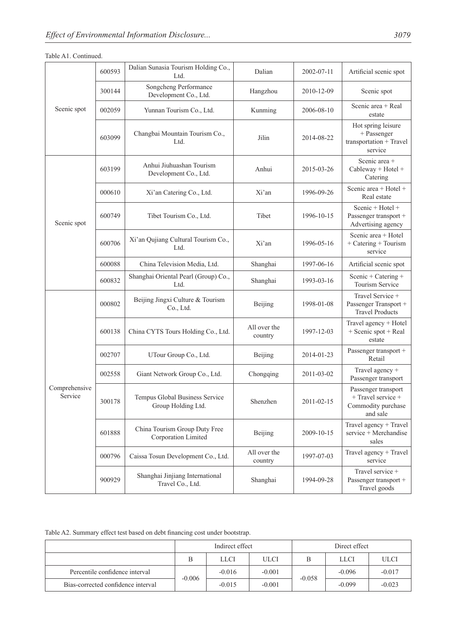| TAUIC AT. COMMUNICU.     |        |                                                      |                         |            |                                                                                 |
|--------------------------|--------|------------------------------------------------------|-------------------------|------------|---------------------------------------------------------------------------------|
|                          | 600593 | Dalian Sunasia Tourism Holding Co.,<br>Ltd.          | Dalian                  | 2002-07-11 | Artificial scenic spot                                                          |
|                          | 300144 | Songcheng Performance<br>Development Co., Ltd.       | Hangzhou                | 2010-12-09 | Scenic spot                                                                     |
| Scenic spot              | 002059 | Yunnan Tourism Co., Ltd.                             | Kunming                 | 2006-08-10 | Scenic area + Real<br>estate                                                    |
|                          | 603099 | Changbai Mountain Tourism Co.,<br>Ltd.               | Jilin                   | 2014-08-22 | Hot spring leisure<br>+ Passenger<br>transportation + Travel<br>service         |
|                          | 603199 | Anhui Jiuhuashan Tourism<br>Development Co., Ltd.    | Anhui                   | 2015-03-26 | Scenic area +<br>Cableway + Hotel +<br>Catering                                 |
|                          | 000610 | Xi'an Catering Co., Ltd.                             | Xi'an                   | 1996-09-26 | Scenic area + Hotel +<br>Real estate                                            |
| Scenic spot              | 600749 | Tibet Tourism Co., Ltd.                              | Tibet                   | 1996-10-15 | Scenic + Hotel +<br>Passenger transport +<br>Advertising agency                 |
|                          | 600706 | Xi'an Qujiang Cultural Tourism Co.,<br>Ltd.          | Xi'an                   | 1996-05-16 | Scenic area + Hotel<br>+ Catering + Tourism<br>service                          |
|                          | 600088 | China Television Media, Ltd.                         | Shanghai                | 1997-06-16 | Artificial scenic spot                                                          |
|                          | 600832 | Shanghai Oriental Pearl (Group) Co.,<br>Ltd.         | Shanghai                | 1993-03-16 | Scenic + Catering +<br>Tourism Service                                          |
|                          | 000802 | Beijing Jingxi Culture & Tourism<br>Co., Ltd.        | Beijing                 | 1998-01-08 | Travel Service +<br>Passenger Transport +<br><b>Travel Products</b>             |
|                          | 600138 | China CYTS Tours Holding Co., Ltd.                   | All over the<br>country | 1997-12-03 | Travel agency + Hotel<br>+ Scenic spot + Real<br>estate                         |
|                          | 002707 | UTour Group Co., Ltd.                                | Beijing                 | 2014-01-23 | Passenger transport +<br>Retail                                                 |
|                          | 002558 | Giant Network Group Co., Ltd.                        | Chongqing               | 2011-03-02 | Travel agency +<br>Passenger transport                                          |
| Comprehensive<br>Service | 300178 | Tempus Global Business Service<br>Group Holding Ltd. | Shenzhen                | 2011-02-15 | Passenger transport<br>$+$ Travel service $+$<br>Commodity purchase<br>and sale |
|                          | 601888 | China Tourism Group Duty Free<br>Corporation Limited | Beijing                 | 2009-10-15 | Travel agency + Travel<br>service + Merchandise<br>sales                        |
|                          | 000796 | Caissa Tosun Development Co., Ltd.                   | All over the<br>country | 1997-07-03 | Travel agency + Travel<br>service                                               |

# Table A1. Continued.

Table A2. Summary effect test based on debt financing cost under bootstrap.

<sup>900929</sup> Shanghai Jinjiang International

|                                    | Indirect effect |             |             | Direct effect |             |             |
|------------------------------------|-----------------|-------------|-------------|---------------|-------------|-------------|
|                                    | В               | <b>LLCI</b> | <b>ULCI</b> |               | <b>LLCI</b> | <b>ULCI</b> |
| Percentile confidence interval     | $-0.006$        | $-0.016$    | $-0.001$    | $-0.058$      | $-0.096$    | $-0.017$    |
| Bias-corrected confidence interval |                 | $-0.015$    | $-0.001$    |               | $-0.099$    | $-0.023$    |

nai Jinjiang International<br>Travel Co., Ltd. Shanghai 1994-09-28

Travel service + Passenger transport + Travel goods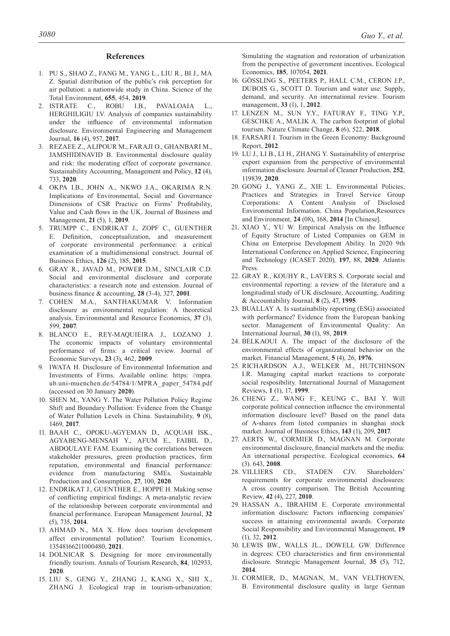#### **References**

- 1. PU S., SHAO Z., FANG M., YANG L., LIU R., BI J., MA Z. Spatial distribution of the public's risk perception for air pollution: a nationwide study in China. Science of the Total Environment, **655**, 454, **2019**.
- 2. ISTRATE C., ROBU I.B., PAVALOAIA L., HERGHILIGIU I.V. Analysis of companies sustainability under the influence of environmental information disclosure. Environmental Engineering and Management Journal, **16** (4), 957, **2017**.
- 3. REZAEE Z., ALIPOUR M., FARAJI O., GHANBARI M., JAMSHIDINAVID B. Environmental disclosure quality and risk: the moderating effect of corporate governance. Sustainability Accounting, Management and Policy, **12** (4), 733, **2020**.
- 4. OKPA I.B., JOHN A., NKWO J.A., OKARIMA R.N. Implications of Environmental, Social and Governance Dimensions of CSR Practice on Firms' Profitability, Value and Cash flows in the UK. Journal of Business and Management, **21** (5), 1, **2019**.
- 5. TRUMPP C., ENDRIKAT J., ZOPF C., GUENTHER E. Definition, conceptualization, and measurement of corporate environmental performance: a critical examination of a multidimensional construct. Journal of Business Ethics, **126** (2), 185, **2015**.
- 6. GRAY R., JAVAD M., POWER D.M., SINCLAIR C.D. Social and environmental disclosure and corporate characteristics: a research note and extension. Journal of business finance & accounting, **28** (3-4), 327, **2001**.
- 7. COHEN M.A., SANTHAKUMAR V. Information disclosure as environmental regulation: A theoretical analysis. Environmental and Resource Economics, **37** (3), 599, **2007**.
- 8. BLANCO E., REY-MAQUIEIRA J., LOZANO J. The economic impacts of voluntary environmental performance of firms: a critical review. Journal of Economic Surveys, **23** (3), 462, **2009**.
- 9. IWATA H. Disclosure of Environmental Information and Investments of Firms. Available online: https: //mpra. ub.uni-muenchen.de/54784/1/MPRA\_paper\_54784.pdf (accessed on 30 January **2020**).
- 10. SHEN M., YANG Y. The Water Pollution Policy Regime Shift and Boundary Pollution: Evidence from the Change of Water Pollution Levels in China. Sustainability, **9** (8), 1469, **2017**.
- 11. BAAH C., OPOKU-AGYEMAN D., ACQUAH ISK., AGYABENG-MENSAH Y., AFUM E., FAIBIL D., ABDOULAYE FAM. Examining the correlations between stakeholder pressures, green production practices, firm reputation, environmental and financial performance: evidence from manufacturing SMEs. Sustainable Production and Consumption, **27**, 100, **2020**.
- 12. ENDRIKAT J., GUENTHER E., HOPPE H. Making sense of conflicting empirical findings: A meta-analytic review of the relationship between corporate environmental and financial performance. European Management Journal, **32**  (5), 735, **2014**.
- 13. AHMAD N., MA X. How does tourism development affect environmental pollution?. Tourism Economics, 13548166211000480, **2021**.
- 14. DOLNICAR S. Designing for more environmentally friendly tourism. Annals of Tourism Research, **84**, 102933, **2020**.
- 15. LIU S., GENG Y., ZHANG J., KANG X., SHI X., ZHANG J. Ecological trap in tourism-urbanization:

Simulating the stagnation and restoration of urbanization from the perspective of government incentives. Ecological Economics, **185**, 107054, **2021**.

- 16. GÖSSLING S., PEETERS P., HALL C.M., CERON J.P., DUBOIS G., SCOTT D. Tourism and water use: Supply, demand, and security. An international review. Tourism management, **33** (1), 1, **2012**.
- 17. LENZEN M., SUN Y.Y., FATURAY F., TING Y.P., GESCHKE A., MALIK A. The carbon footprint of global tourism. Nature Climate Change, **8** (6), 522, **2018**.
- 18. FARSARI I. Tourism in the Green Economy: Background Report, **2012**.
- 19. LU J., LI B., LI H., ZHANG Y. Sustainability of enterprise export expansion from the perspective of environmental information disclosure. Journal of Cleaner Production, **252**, 119839, **2020**.
- 20. GONG J., YANG Z., XIE L. Environmental Policies, Practices and Strategies in Travel Service Group Corporations: A Content Analysis of Disclosed Environmental Information. China Population,Resources and Environment, **24** (08), 168, **2014** [In Chinese].
- 21. XIAO Y., YU W. Empirical Analysis on the Influence of Equity Structure of Listed Companies on GEM in China on Enterprise Development Ability. In 2020 9th International Conference on Applied Science, Engineering and Technology (ICASET 2020)*,* **197**, 88, **2020**. Atlantis Press.
- 22. GRAY R., KOUHY R., LAVERS S. Corporate social and environmental reporting: a review of the literature and a longitudinal study of UK disclosure, Accounting, Auditing & Accountability Journal, **8** (2), 47, **1995**.
- 23. BUALLAY A. Is sustainability reporting (ESG) associated with performance? Evidence from the European banking sector. Management of Environmental Quality: An International Journal, **30** (1), 98, **2019**.
- 24. BELKAOUI A. The impact of the disclosure of the environmental effects of organizational behavior on the market. Financial Management, **5** (4), 26, **1976**.
- 25. RICHARDSON A.J., WELKER M., HUTCHINSON I.R. Managing capital market reactions to corporate social resposibility. International Journal of Management Reviews, **1** (1), 17, **1999**.
- 26. CHENG Z., WANG F., KEUNG C., BAI Y. Will corporate political connection influence the environmental information disclosure level? Based on the panel data of A-shares from listed companies in shanghai stock market. Journal of Business Ethics, **143** (1), 209, **2017**.
- 27. AERTS W., CORMIER D., MAGNAN M. Corporate environmental disclosure, financial markets and the media: An international perspective. Ecological economics, **64**  (3). 643, **2008**.
- 28. VILLIERS CD., STADEN CJV. Shareholders' requirements for corporate environmental disclosures: A cross country comparison. The British Accounting Review, **42** (4), 227, **2010**.
- 29. HASSAN A., IBRAHIM E. Corporate environmental information disclosure: Factors influencing companies' success in attaining environmental awards. Corporate Social Responsibility and Environmental Management, **19**  (1), 32, **2012**.
- 30. LEWIS BW., WALLS JL., DOWELL GW. Difference in degrees: CEO characteristics and firm environmental disclosure. Strategic Management Journal, **35** (5), 712, **2014**.
- 31. CORMIER, D., MAGNAN, M., VAN VELTHOVEN, B. Environmental disclosure quality in large German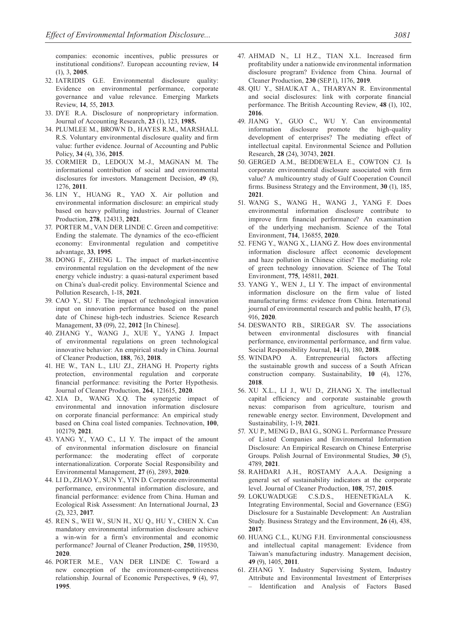companies: economic incentives, public pressures or institutional conditions?. European accounting review, **14**  (1), 3, **2005**.

- 32. IATRIDIS G.E. Environmental disclosure quality: Evidence on environmental performance, corporate governance and value relevance. Emerging Markets Review, **14**, 55, **2013**.
- 33. DYE R.A. Disclosure of nonproprietary information. Journal of Accounting Research, **23** (1), 123, **1985.**
- 34. PLUMLEE M., BROWN D., HAYES R.M., MARSHALL R.S. Voluntary environmental disclosure quality and firm value: further evidence. Journal of Accounting and Public Policy, **34** (4), 336, **2015**.
- 35. CORMIER D., LEDOUX M.-J., MAGNAN M. The informational contribution of social and environmental disclosures for investors. Management Decision, **49** (8), 1276, **2011**.
- 36. LIN Y., HUANG R., YAO X. Air pollution and environmental information disclosure: an empirical study based on heavy polluting industries. Journal of Cleaner Production, **278**, 124313, **2021**.
- 37. PORTER M., VAN DER LINDE C. Green and competitive: Ending the stalemate. The dynamics of the eco-efficient economy: Environmental regulation and competitive advantage, **33**, **1995**.
- 38. DONG F., ZHENG L. The impact of market-incentive environmental regulation on the development of the new energy vehicle industry: a quasi-natural experiment based on China's dual-credit policy. Environmental Science and Pollution Research, 1-18, **2021**.
- 39. CAO Y., SU F. The impact of technological innovation input on innovation performance based on the panel date of Chinese high-tech industries. Science Research Management, **33** (09), 22, **2012** [In Chinese].
- 40. ZHANG Y., WANG J., XUE Y., YANG J. Impact of environmental regulations on green technological innovative behavior: An empirical study in China. Journal of Cleaner Production, **188**, 763, **2018**.
- 41. HE W., TAN L., LIU ZJ., ZHANG H. Property rights protection, environmental regulation and corporate financial performance: revisiting the Porter Hypothesis. Journal of Cleaner Production, **264**, 121615, **2020**.
- 42. XIA D., WANG X.Q. The synergetic impact of environmental and innovation information disclosure on corporate financial performance: An empirical study based on China coal listed companies. Technovation, **100**, 102179, **2021**.
- 43. YANG Y., YAO C., LI Y. The impact of the amount of environmental information disclosure on financial performance: the moderating effect of corporate internationalization. Corporate Social Responsibility and Environmental Management, **27** (6), 2893, **2020**.
- 44. LI D., ZHAO Y., SUN Y., YIN D. Corporate environmental performance, environmental information disclosure, and financial performance: evidence from China. Human and Ecological Risk Assessment: An International Journal, **23**  (2), 323, **2017**.
- 45. REN S., WEI W., SUN H., XU Q., HU Y., CHEN X. Can mandatory environmental information disclosure achieve a win-win for a firm's environmental and economic performance? Journal of Cleaner Production, **250**, 119530, **2020**.
- 46. PORTER M.E., VAN DER LINDE C. Toward a new conception of the environment-competitiveness relationship. Journal of Economic Perspectives, **9** (4), 97, **1995**.
- 47. AHMAD N., LI H.Z., TIAN X.L. Increased firm profitability under a nationwide environmental information disclosure program? Evidence from China. Journal of Cleaner Production, **230** (SEP.1), 1176, **2019**.
- 48. QIU Y., SHAUKAT A., THARYAN R. Environmental and social disclosures: link with corporate financial performance. The British Accounting Review, **48** (1), 102, **2016**.
- 49. JIANG Y., GUO C., WU Y. Can environmental information disclosure promote the high-quality development of enterprises? The mediating effect of intellectual capital. Environmental Science and Pollution Research, **28** (24), 30743, **2021**.
- 50. GERGED A.M., BEDDEWELA E., COWTON CJ. Is corporate environmental disclosure associated with firm value? A multicountry study of Gulf Cooperation Council firms. Business Strategy and the Environment, **30** (1), 185, **2021**.
- 51. WANG S., WANG H., WANG J., YANG F. Does environmental information disclosure contribute to improve firm financial performance? An examination of the underlying mechanism. Science of the Total Environment, **714**, 136855, **2020**.
- 52. FENG Y., WANG X., LIANG Z. How does environmental information disclosure affect economic development and haze pollution in Chinese cities? The mediating role of green technology innovation. Science of The Total Environment, **775**, 145811, **2021**.
- 53. YANG Y., WEN J., LI Y. The impact of environmental information disclosure on the firm value of listed manufacturing firms: evidence from China. International journal of environmental research and public health, **17** (3), 916, **2020**.
- 54. DESWANTO RB., SIREGAR SV. The associations between environmental disclosures with financial performance, environmental performance, and firm value. Social Responsibility Journal, **14** (1), 180, **2018**.
- 55. WINDAPO A. Entrepreneurial factors affecting the sustainable growth and success of a South African construction company. Sustainability, **10** (4), 1276, **2018**.
- 56. XU X.L., LI J., WU D., ZHANG X. The intellectual capital efficiency and corporate sustainable growth nexus: comparison from agriculture, tourism and renewable energy sector. Environment, Development and Sustainability, 1-19, **2021**.
- 57. XU P., MENG D., BAI G., SONG L. Performance Pressure of Listed Companies and Environmental Information Disclosure: An Empirical Research on Chinese Enterprise Groups. Polish Journal of Environmental Studies, **30** (5), 4789, **2021**.
- 58. RAHDARI A.H., ROSTAMY A.A.A. Designing a general set of sustainability indicators at the corporate level. Journal of Cleaner Production, **108**, 757, **2015**.
- 59. LOKUWADUGE C.S.D.S., HEENETIGALA K. Integrating Environmental, Social and Governance (ESG) Disclosure for a Sustainable Development: An Australian Study. Business Strategy and the Environment, **26** (4), 438, **2017**.
- 60. HUANG C.L., KUNG F.H. Environmental consciousness and intellectual capital management: Evidence from Taiwan's manufacturing industry. Management decision, **49** (9), 1405, **2011**.
- 61. ZHANG Y. Industry Supervising System, Industry Attribute and Environmental Investment of Enterprises – Identification and Analysis of Factors Based